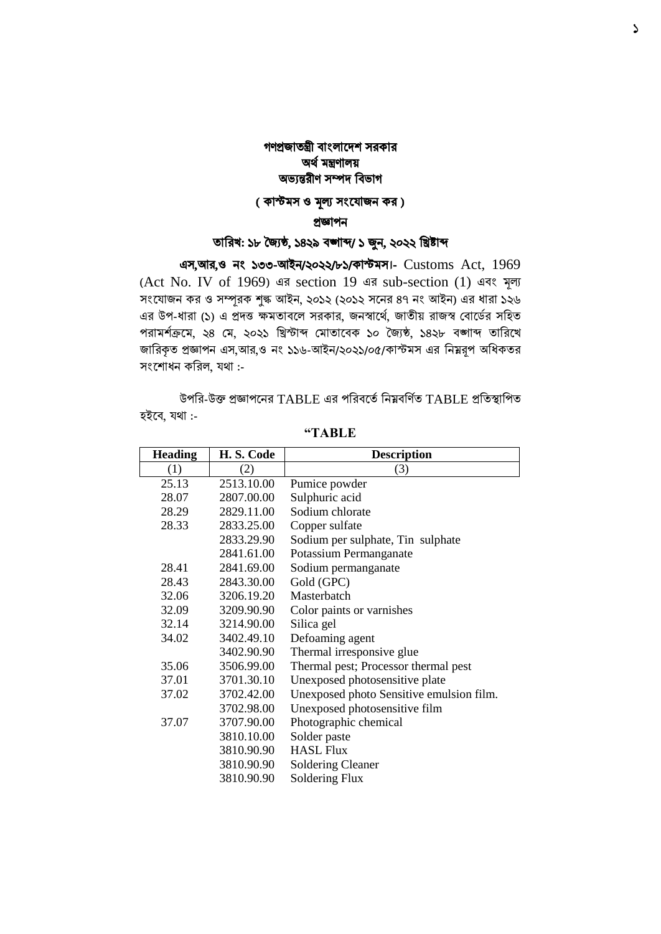## গণপ্রজাতন্ত্রী বাংলাদেশ সরকার অর্ থমন্ত্রণালয় অভ্যন্তরীণ সম্পে ববভ্াগ

## ( কাস্টমস ও মূল্য সংযোজন কর)

#### প্রজ্ঞাপন

## তাবরখ: ১৮ জ্যৈষ্ঠ, ১৪২৯ বঙ্গাব্দ/ ১ জুন, ২০২২ বিষ্টাব্দ

এস,আর,ও নাং ১৩৩-আইন/২০২২/৮১/কাস্টমস।- Customs Act, 1969 (Act No. IV of 1969) এর section 19 এর sub-section (1) এবাং মূল্য সংযোজন কর ও সম্পূরক শুল্ক আইন, ২০১২ (২০১২ সনের ৪৭ নং আইন) এর ধারা ১২৬ এর উপ-ধারা (১) এ প্রদত্ত ক্ষমতাবলে সরকার, জনস্বার্থে, জাতীয় রাজস্ব বোর্ডের সহিত পরামশক্রথ দম, ২৪ মে, ২০২১ খ্রিস্টাব্দ মোতাবেক ১০ জ্যৈষ্ঠ, ১৪২৮ েঙ্গাব্দ তাখ্ররবে জারিকৃত প্রজ্ঞাপন এস,আর,ও নং ১১৬-আইন/২০২১/০৫/কাস্টমস এর নিয়রূপ অধিকতর সংশোধন করিল, যথা :-

উপখ্রর-উক্ত প্রজ্ঞাপবনর TABLE এর পখ্ররেবতেখ্রনম্নেখ্রণতে TABLE প্রখ্রতস্থাখ্রপত হইবে, যথা :-

| <b>Heading</b> | H.S. Code  | <b>Description</b>                       |
|----------------|------------|------------------------------------------|
| (1)            | (2)        | (3)                                      |
| 25.13          | 2513.10.00 | Pumice powder                            |
| 28.07          | 2807.00.00 | Sulphuric acid                           |
| 28.29          | 2829.11.00 | Sodium chlorate                          |
| 28.33          | 2833.25.00 | Copper sulfate                           |
|                | 2833.29.90 | Sodium per sulphate, Tin sulphate        |
|                | 2841.61.00 | Potassium Permanganate                   |
| 28.41          | 2841.69.00 | Sodium permanganate                      |
| 28.43          | 2843.30.00 | Gold (GPC)                               |
| 32.06          | 3206.19.20 | Masterbatch                              |
| 32.09          | 3209.90.90 | Color paints or varnishes                |
| 32.14          | 3214.90.00 | Silica gel                               |
| 34.02          | 3402.49.10 | Defoaming agent                          |
|                | 3402.90.90 | Thermal irresponsive glue                |
| 35.06          | 3506.99.00 | Thermal pest; Processor thermal pest     |
| 37.01          | 3701.30.10 | Unexposed photosensitive plate           |
| 37.02          | 3702.42.00 | Unexposed photo Sensitive emulsion film. |
|                | 3702.98.00 | Unexposed photosensitive film            |
| 37.07          | 3707.90.00 | Photographic chemical                    |
|                | 3810.10.00 | Solder paste                             |
|                | 3810.90.90 | <b>HASL Flux</b>                         |
|                | 3810.90.90 | <b>Soldering Cleaner</b>                 |
|                | 3810.90.90 | Soldering Flux                           |

**"TABLE**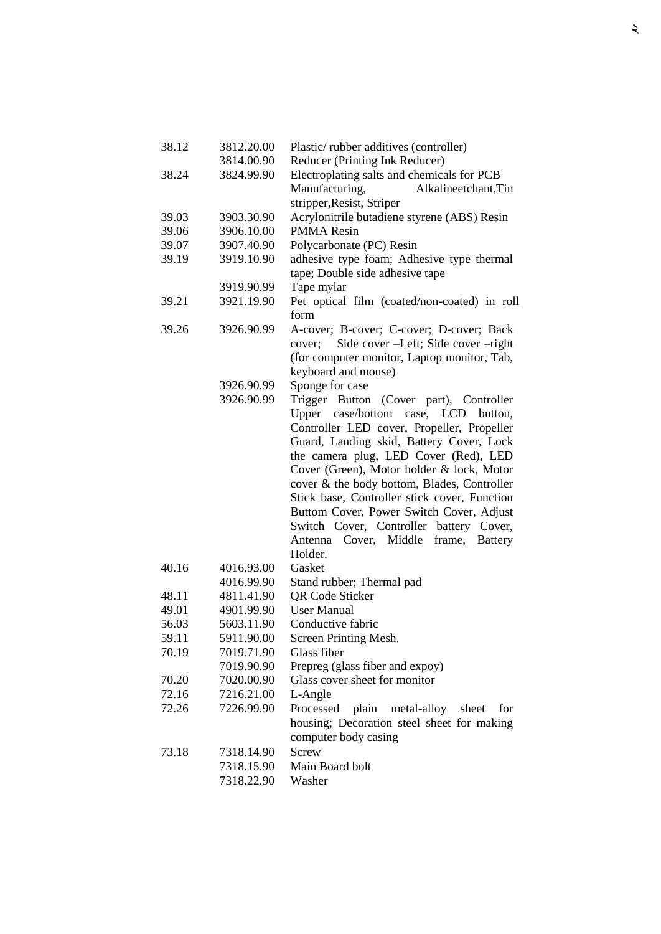| 38.12 | 3812.20.00 | Plastic/rubber additives (controller)             |
|-------|------------|---------------------------------------------------|
|       | 3814.00.90 | Reducer (Printing Ink Reducer)                    |
| 38.24 | 3824.99.90 | Electroplating salts and chemicals for PCB        |
|       |            | Manufacturing,<br>Alkalineetchant, Tin            |
|       |            | stripper, Resist, Striper                         |
| 39.03 | 3903.30.90 | Acrylonitrile butadiene styrene (ABS) Resin       |
| 39.06 | 3906.10.00 | <b>PMMA</b> Resin                                 |
| 39.07 | 3907.40.90 | Polycarbonate (PC) Resin                          |
| 39.19 | 3919.10.90 | adhesive type foam; Adhesive type thermal         |
|       |            | tape; Double side adhesive tape                   |
|       | 3919.90.99 | Tape mylar                                        |
| 39.21 | 3921.19.90 | Pet optical film (coated/non-coated) in roll      |
|       |            | form                                              |
| 39.26 | 3926.90.99 | A-cover; B-cover; C-cover; D-cover; Back          |
|       |            | Side cover -Left; Side cover -right<br>cover;     |
|       |            | (for computer monitor, Laptop monitor, Tab,       |
|       |            | keyboard and mouse)                               |
|       | 3926.90.99 | Sponge for case                                   |
|       | 3926.90.99 | Trigger Button (Cover part), Controller           |
|       |            | Upper case/bottom case, LCD button,               |
|       |            | Controller LED cover, Propeller, Propeller        |
|       |            | Guard, Landing skid, Battery Cover, Lock          |
|       |            | the camera plug, LED Cover (Red), LED             |
|       |            | Cover (Green), Motor holder & lock, Motor         |
|       |            | cover & the body bottom, Blades, Controller       |
|       |            | Stick base, Controller stick cover, Function      |
|       |            | Buttom Cover, Power Switch Cover, Adjust          |
|       |            | Switch Cover, Controller battery Cover,           |
|       |            | Antenna Cover, Middle<br>frame,<br><b>Battery</b> |
|       |            | Holder.                                           |
| 40.16 | 4016.93.00 | Gasket                                            |
|       | 4016.99.90 | Stand rubber; Thermal pad                         |
| 48.11 | 4811.41.90 | <b>QR</b> Code Sticker                            |
| 49.01 | 4901.99.90 | <b>User Manual</b>                                |
| 56.03 | 5603.11.90 | Conductive fabric                                 |
| 59.11 | 5911.90.00 | Screen Printing Mesh.                             |
| 70.19 | 7019.71.90 | Glass fiber                                       |
|       | 7019.90.90 | Prepreg (glass fiber and expoy)                   |
| 70.20 | 7020.00.90 | Glass cover sheet for monitor                     |
| 72.16 | 7216.21.00 | L-Angle                                           |
| 72.26 | 7226.99.90 | plain metal-alloy<br>Processed<br>sheet<br>for    |
|       |            | housing; Decoration steel sheet for making        |
|       |            | computer body casing                              |
| 73.18 | 7318.14.90 | Screw                                             |
|       | 7318.15.90 | Main Board bolt                                   |
|       | 7318.22.90 | Washer                                            |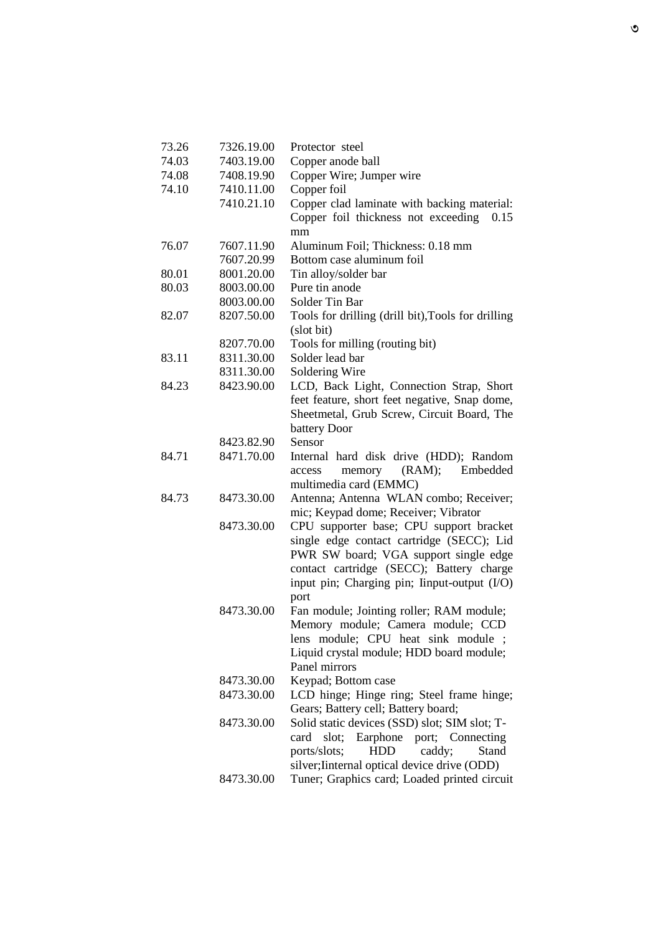| 73.26 | 7326.19.00 | Protector steel                                    |
|-------|------------|----------------------------------------------------|
| 74.03 | 7403.19.00 | Copper anode ball                                  |
| 74.08 | 7408.19.90 | Copper Wire; Jumper wire                           |
| 74.10 | 7410.11.00 | Copper foil                                        |
|       | 7410.21.10 | Copper clad laminate with backing material:        |
|       |            | Copper foil thickness not exceeding<br>0.15        |
|       |            | mm                                                 |
| 76.07 | 7607.11.90 | Aluminum Foil; Thickness: 0.18 mm                  |
|       | 7607.20.99 | Bottom case aluminum foil                          |
| 80.01 | 8001.20.00 | Tin alloy/solder bar                               |
| 80.03 | 8003.00.00 | Pure tin anode                                     |
|       | 8003.00.00 | Solder Tin Bar                                     |
| 82.07 | 8207.50.00 | Tools for drilling (drill bit), Tools for drilling |
|       |            | (slot bit)                                         |
|       | 8207.70.00 | Tools for milling (routing bit)                    |
| 83.11 | 8311.30.00 | Solder lead bar                                    |
|       | 8311.30.00 | Soldering Wire                                     |
| 84.23 | 8423.90.00 | LCD, Back Light, Connection Strap, Short           |
|       |            | feet feature, short feet negative, Snap dome,      |
|       |            | Sheetmetal, Grub Screw, Circuit Board, The         |
|       |            | battery Door                                       |
|       | 8423.82.90 | Sensor                                             |
| 84.71 | 8471.70.00 | Internal hard disk drive (HDD); Random             |
|       |            | (RAM);<br>memory<br>Embedded<br>access             |
|       |            | multimedia card (EMMC)                             |
| 84.73 | 8473.30.00 | Antenna; Antenna WLAN combo; Receiver;             |
|       |            | mic; Keypad dome; Receiver; Vibrator               |
|       | 8473.30.00 | CPU supporter base; CPU support bracket            |
|       |            | single edge contact cartridge (SECC); Lid          |
|       |            | PWR SW board; VGA support single edge              |
|       |            | contact cartridge (SECC); Battery charge           |
|       |            | input pin; Charging pin; Iinput-output (I/O)       |
|       |            | port                                               |
|       | 8473.30.00 | Fan module; Jointing roller; RAM module;           |
|       |            | Memory module; Camera module; CCD                  |
|       |            | lens module; CPU heat sink module ;                |
|       |            | Liquid crystal module; HDD board module;           |
|       |            | Panel mirrors                                      |
|       | 8473.30.00 | Keypad; Bottom case                                |
|       | 8473.30.00 | LCD hinge; Hinge ring; Steel frame hinge;          |
|       |            | Gears; Battery cell; Battery board;                |
|       | 8473.30.00 | Solid static devices (SSD) slot; SIM slot; T-      |
|       |            | Earphone port; Connecting<br>slot;<br>card         |
|       |            | <b>HDD</b><br>ports/slots;<br>caddy;<br>Stand      |
|       |            | silver; Iinternal optical device drive (ODD)       |
|       | 8473.30.00 | Tuner; Graphics card; Loaded printed circuit       |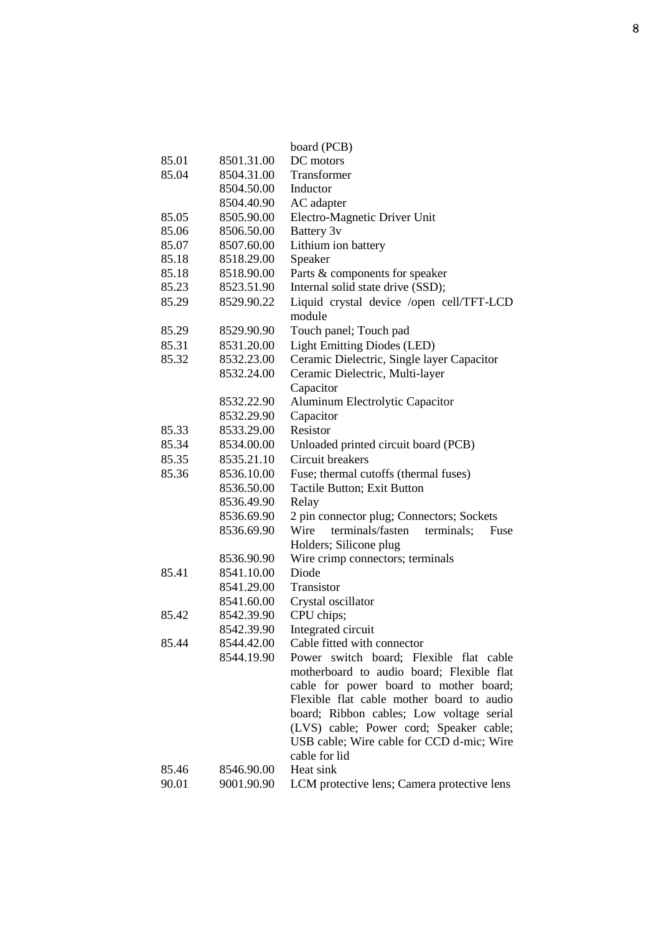|       |            | board (PCB)                                    |
|-------|------------|------------------------------------------------|
| 85.01 | 8501.31.00 | DC motors                                      |
| 85.04 | 8504.31.00 | Transformer                                    |
|       | 8504.50.00 | Inductor                                       |
|       | 8504.40.90 | AC adapter                                     |
| 85.05 | 8505.90.00 | Electro-Magnetic Driver Unit                   |
| 85.06 | 8506.50.00 | Battery 3v                                     |
| 85.07 | 8507.60.00 | Lithium ion battery                            |
| 85.18 | 8518.29.00 | Speaker                                        |
| 85.18 | 8518.90.00 | Parts & components for speaker                 |
| 85.23 | 8523.51.90 | Internal solid state drive (SSD);              |
| 85.29 | 8529.90.22 | Liquid crystal device /open cell/TFT-LCD       |
|       |            | module                                         |
| 85.29 | 8529.90.90 | Touch panel; Touch pad                         |
| 85.31 | 8531.20.00 | <b>Light Emitting Diodes (LED)</b>             |
| 85.32 | 8532.23.00 | Ceramic Dielectric, Single layer Capacitor     |
|       | 8532.24.00 | Ceramic Dielectric, Multi-layer                |
|       |            | Capacitor                                      |
|       | 8532.22.90 | Aluminum Electrolytic Capacitor                |
|       | 8532.29.90 | Capacitor                                      |
| 85.33 | 8533.29.00 | Resistor                                       |
| 85.34 | 8534.00.00 | Unloaded printed circuit board (PCB)           |
| 85.35 | 8535.21.10 | Circuit breakers                               |
| 85.36 | 8536.10.00 | Fuse; thermal cutoffs (thermal fuses)          |
|       | 8536.50.00 | Tactile Button; Exit Button                    |
|       | 8536.49.90 | Relay                                          |
|       | 8536.69.90 | 2 pin connector plug; Connectors; Sockets      |
|       | 8536.69.90 | terminals/fasten<br>terminals;<br>Wire<br>Fuse |
|       |            | Holders; Silicone plug                         |
|       | 8536.90.90 | Wire crimp connectors; terminals               |
| 85.41 | 8541.10.00 | Diode                                          |
|       | 8541.29.00 | Transistor                                     |
|       | 8541.60.00 | Crystal oscillator                             |
| 85.42 | 8542.39.90 | CPU chips;                                     |
|       | 8542.39.90 | Integrated circuit                             |
| 85.44 | 8544.42.00 | Cable fitted with connector                    |
|       | 8544.19.90 | Power switch board; Flexible flat cable        |
|       |            | motherboard to audio board; Flexible flat      |
|       |            | cable for power board to mother board;         |
|       |            | Flexible flat cable mother board to audio      |
|       |            | board; Ribbon cables; Low voltage serial       |
|       |            | (LVS) cable; Power cord; Speaker cable;        |
|       |            | USB cable; Wire cable for CCD d-mic; Wire      |
|       |            | cable for lid                                  |
| 85.46 | 8546.90.00 | Heat sink                                      |
| 90.01 | 9001.90.90 | LCM protective lens; Camera protective lens    |